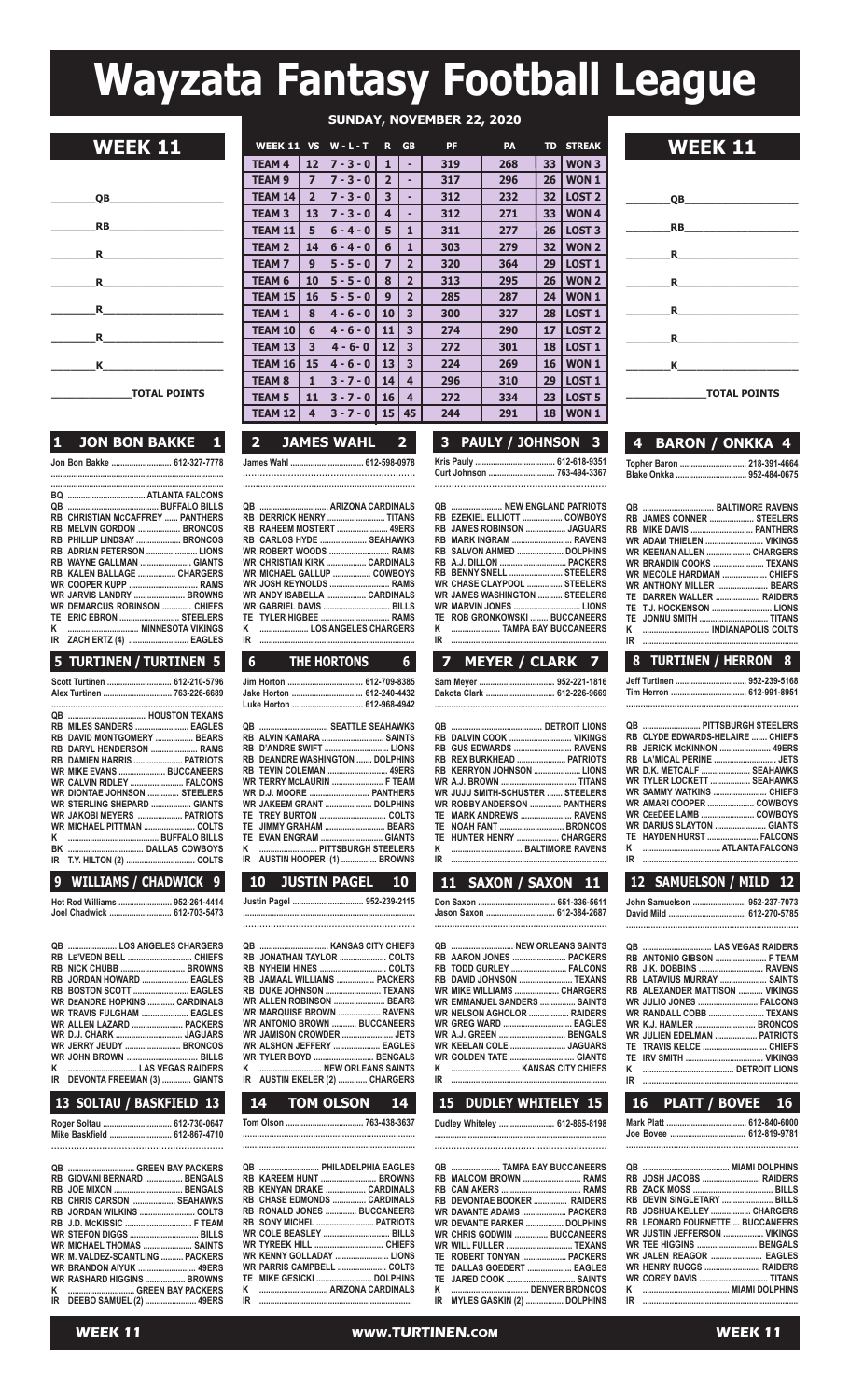# **Wayzata Fantasy Football League**

|          | <b>RB <i>RB</i></b>                                                                                                                                                                                                                                                                                                             |
|----------|---------------------------------------------------------------------------------------------------------------------------------------------------------------------------------------------------------------------------------------------------------------------------------------------------------------------------------|
|          | $\mathbf R$ and $\mathbf R$ are the set of $\mathbf R$                                                                                                                                                                                                                                                                          |
|          | $\mathbf R$ and $\mathbf R$ and $\mathbf R$ and $\mathbf R$ and $\mathbf R$ and $\mathbf R$ and $\mathbf R$ and $\mathbf R$ and $\mathbf R$ and $\mathbf R$ and $\mathbf R$ and $\mathbf R$ and $\mathbf R$ and $\mathbf R$ and $\mathbf R$ and $\mathbf R$ and $\mathbf R$ and $\mathbf R$ and $\mathbf R$ and $\mathbf R$ and |
|          | $\mathbf R$                                                                                                                                                                                                                                                                                                                     |
| <b>R</b> |                                                                                                                                                                                                                                                                                                                                 |
|          | $\kappa$ and $\kappa$ and $\kappa$ and $\kappa$ and $\kappa$ and $\kappa$ and $\kappa$ and $\kappa$ and $\kappa$ and $\kappa$ and $\kappa$ and $\kappa$ and $\kappa$ and $\kappa$ and $\kappa$ and $\kappa$ and $\kappa$ and $\kappa$ and $\kappa$ and $\kappa$ and $\kappa$ and $\kappa$ and                                   |
|          | <b>TOTAL POINTS</b>                                                                                                                                                                                                                                                                                                             |

#### **1 JON BON BAKKE 1**

**Jon Bon Bakke ........................... 612-327-7778**

| BQ        |                                         |  |
|-----------|-----------------------------------------|--|
| QB        |                                         |  |
|           | <b>RB CHRISTIAN MCCAFFREY  PANTHERS</b> |  |
| <b>RB</b> | <b>MELVIN GORDON  BRONCOS</b>           |  |
|           | RB PHILLIP LINDSAY  BRONCOS             |  |
|           | RB ADRIAN PETERSON  LIONS               |  |
|           | RB WAYNE GALLMAN  GIANTS                |  |
|           |                                         |  |
|           | <b>WR COOPER KUPP  RAMS</b>             |  |
|           | WR JARVIS LANDRY  BROWNS                |  |
|           | WR DEMARCUS ROBINSON  CHIFFS            |  |
| TE        | ERIC EBRON  STEELERS                    |  |
| κ         |                                         |  |
| ΙR        | ZACH ERTZ (4)  EAGLES                   |  |

#### **5 TURTINEN / TURTINEN 5**

## **9 WILLIAMS / CHADWICK 9**

**hot Rod Williams ........................ 952-261-4414 Joel Chadwick ............................ 612-703-5473**

#### **qB ...................... los anGElEs ChaRGERs RB lE'VEon BEll ............................. ChiEFs RB niCK ChUBB ............................. BRoWns RB JoRdan hoWaRd ..................... EaGlEs** RB BOSTON SCOTT .......................... EAGLES<br>WR DEANDRE HOPKINS ............ CARDINALS<br>WR TRAVIS FULGHAM ..................... EAGLES **WR allEn laZaRd ....................... PaCKERs WR d.J. ChaRK .............................. JaGUaRs WR JERRY JEUdY ......................... BRonCos WR John BRoWn ................................ Bills K ............................... las VEGas RaidERs iDEVONTA FREEMAN (3)** ....

## **13 SOLTAU / BASKFIELD 13**

| Roger Soltau  612-730-0647   |  |
|------------------------------|--|
| Mike Baskfield  612-867-4710 |  |
|                              |  |

| QB  GREEN BAY PACKERS             |  |
|-----------------------------------|--|
| RB GIOVANI BERNARD  BENGALS       |  |
| RB JOE MIXON  BENGALS             |  |
| RB CHRIS CARSON  SEAHAWKS         |  |
| RB JORDAN WILKINS  COLTS          |  |
|                                   |  |
| <b>WR STEFON DIGGS  BILLS</b>     |  |
| WR MICHAEL THOMAS  SAINTS         |  |
| WR M. VALDEZ-SCANTLING  PACKERS   |  |
| <b>WR BRANDON AIYUK  49ERS</b>    |  |
| <b>WR RASHARD HIGGINS  BROWNS</b> |  |
| K  GREEN BAY PACKERS              |  |
| IR DEEBO SAMUEL (2)  49ERS        |  |
|                                   |  |

|                     | <b>SUNDAY, NOVEMBER 22, 2020</b> |                 |                     |                |                         |           |     |    |                   |                 |
|---------------------|----------------------------------|-----------------|---------------------|----------------|-------------------------|-----------|-----|----|-------------------|-----------------|
| <b>WEEK 11</b>      |                                  |                 | WEEK 11 VS W-L-T    | $\mathbf{R}$   | <b>GB</b>               | <b>PF</b> | PA  |    | <b>TD STREAK</b>  | <b>WEEK 11</b>  |
|                     | <b>TEAM 4</b>                    | 12 <sup>2</sup> | 7 - 3 - 0           | $\mathbf{1}$   |                         | 319       | 268 |    | 33 WON 3          |                 |
|                     | <b>TEAM 9</b>                    | $\overline{7}$  | $7 - 3 - 0$         | $\overline{2}$ |                         | 317       | 296 |    | 26 WON 1          |                 |
| QB                  | <b>TEAM 14</b>                   | $\overline{2}$  | $7 - 3 - 0$         | 3              |                         | 312       | 232 |    | 32   LOST 2       | <b>OB</b>       |
|                     | <b>TEAM 3</b>                    | 13              | $7 - 3 - 0$         | 4              |                         | 312       | 271 | 33 | $1$ WON 4         |                 |
| RB                  | <b>TEAM 11</b>                   | 5               | $6 - 4 - 0$         | 5              |                         | 311       | 277 | 26 | LOST <sub>3</sub> | <b>RB</b>       |
| <b>R</b>            | <b>TEAM 2</b>                    | 14              | $6 - 4 - 0$         | 6              |                         | 303       | 279 | 32 | WON <sub>2</sub>  | $\mathbf{R}$    |
|                     | <b>TEAM7</b>                     | 9               | $5 - 5 - 0$         | $\overline{ }$ | 2 <sup>1</sup>          | 320       | 364 | 29 | <b>LOST 1</b>     |                 |
| <b>R</b>            | TEAM <sub>6</sub>                | 10              | $5 - 5 - 0$         | 8              | 2 <sup>1</sup>          | 313       | 295 | 26 | WON <sub>2</sub>  | R.              |
|                     | <b>TEAM 15</b>                   | 16              | $5 - 5 - 0$         | $\mathbf{9}$   | 2 <sup>1</sup>          | 285       | 287 | 24 | WON <sub>1</sub>  |                 |
| $\mathbf R$         | <b>TEAM 1</b>                    | 8               | $4 - 6 - 0$         | 10             | $\overline{\mathbf{3}}$ | 300       | 327 | 28 | LOST <sub>1</sub> | $\mathbf R$     |
|                     | <b>TEAM 10</b>                   | 6               | $4 - 6 - 0$         | 11             | 3                       | 274       | 290 | 17 | LOST <sub>2</sub> |                 |
| R                   | <b>TEAM 13</b>                   | 3               | $4 - 6 - 0$         | 12             | $\overline{\mathbf{3}}$ | 272       | 301 |    | 18   LOST 1       | R.              |
| K                   | <b>TEAM 16</b>                   | 15              | $4 - 6 - 0$         | 13             | $\overline{\mathbf{3}}$ | 224       | 269 |    | <b>16 WON 1</b>   | K               |
|                     | <b>TEAM 8</b>                    | 1               | $3 - 7 - 0$         | 14             | $\overline{4}$          | 296       | 310 | 29 | LOST <sub>1</sub> |                 |
| <b>TOTAL POINTS</b> | <b>TEAM 5</b>                    | 11              | $3 - 7 - 0$         | <b>16</b>      | 4                       | 272       | 334 | 23 | LOST <sub>5</sub> | <b>TOTAL PO</b> |
|                     | <b>TEAM 121</b>                  | $\overline{a}$  | 3 - 7 - 0   15   45 |                |                         | 244       | 291 |    | 18   WON 1        |                 |

#### **2 JAMES WAHL 2 3 PAULY / JOHNSON 3 4 BARON / ONKKA 4 Kris Pauly .................................... 612-618-9351 Curt Johnson .............................. 763-494-3367 ............................................................**

|    | <b>QB  NEW ENGLAND PATRIOTS</b>      |  |
|----|--------------------------------------|--|
|    | RB EZEKIEL ELLIOTT  COWBOYS          |  |
|    | RB JAMES ROBINSON  JAGUARS           |  |
|    | RB MARK INGRAM  RAVENS               |  |
|    | RB SALVON AHMED  DOLPHINS            |  |
|    |                                      |  |
|    | RB BENNY SNELL  STEELERS             |  |
|    | WR CHASE CLAYPOOL  STEELERS          |  |
|    | <b>WR JAMES WASHINGTON  STEELERS</b> |  |
|    |                                      |  |
|    | TE ROB GRONKOWSKI  BUCCANEERS        |  |
| ĸ  | TAMPA BAY BUCCANEERS                 |  |
| IR |                                      |  |

#### **6 THE HORTONS 6 7 MEYER / CLARK 7 8 TURTINEN / HERRON 8 sam Meyer .................................. 952-221-1816**

| Dakota Clark  612-226-9669 |  |
|----------------------------|--|
|                            |  |

|    | RB DALVIN COOK  VIKINGS            |  |
|----|------------------------------------|--|
|    | RB GUS EDWARDS  RAVENS             |  |
|    | RB REX BURKHEAD  PATRIOTS          |  |
|    | RB KERRYON JOHNSON  LIONS          |  |
|    |                                    |  |
|    | WR JUJU SMITH-SCHUSTER  STEELERS   |  |
|    | <b>WR ROBBY ANDERSON  PANTHERS</b> |  |
|    | TE MARK ANDREWS  RAVENS            |  |
|    | TE NOAH FANT  BRONCOS              |  |
|    | TE HUNTER HENRY  CHARGERS          |  |
|    |                                    |  |
| םו |                                    |  |

**WR GOLDEN TATE** ...

| TE NOAH FANT  BRONCOS<br>TE HUNTER HENRY  CHARGERS | <b>WR DAF</b><br><b>TE HAY</b><br>K<br>1.1.1.1.1<br>$IR$ |
|----------------------------------------------------|----------------------------------------------------------|
| 11 SAXON / SAXON 11                                | 12 <sub>1</sub>                                          |
|                                                    | John Sa                                                  |
|                                                    | David M                                                  |
|                                                    |                                                          |
| QB  NEW ORLEANS SAINTS                             | QB                                                       |
|                                                    | RB ANT                                                   |
| RB TODD GURLEY  FALCONS                            | RB J.K.                                                  |
| RB DAVID JOHNSON  TEXANS                           | RB LAT                                                   |
| WR MIKE WILLIAMS  CHARGERS                         | RB ALE                                                   |

| PANTHERS        |  | WR AMARI COOPER  COWBOYS |
|-----------------|--|--------------------------|
| RAVENS          |  |                          |
| BRONCOS         |  |                          |
| CHARGERS        |  | TE HAYDEN HURST  FALCONS |
| ALTIMORE RAVENS |  |                          |
|                 |  |                          |

|   | QB  PITTSBURGH STEELERS          |
|---|----------------------------------|
|   | RB CLYDE EDWARDS-HELAIRE  CHIEFS |
|   |                                  |
|   |                                  |
|   | WR D.K. METCALF  SEAHAWKS        |
|   | WR TYLER LOCKETT  SEAHAWKS       |
|   |                                  |
|   |                                  |
|   |                                  |
|   | WR DARIUS SLAYTON  GIANTS        |
|   | TE HAYDEN HURST  FALCONS         |
| ĸ | ATI ANTA FAI CONS                |

| 12 SAMUELSON / MILD 12                |  |
|---------------------------------------|--|
| John Samuelson  952-237-7073          |  |
| David Mild  612-270-5785              |  |
|                                       |  |
|                                       |  |
| RB ANTONIO GIBSON  F TEAM             |  |
| RB J.K. DOBBINS  RAVENS               |  |
| RB LATAVIUS MURRAY  SAINTS            |  |
| <b>RB ALEXANDER MATTISON  VIKINGS</b> |  |
| <b>WR JULIO JONES  FALCONS</b>        |  |
| WR RANDALL COBB  TEXANS               |  |
| <b>WR K.J. HAMLER  BRONCOS</b>        |  |
| <b>WR JULIEN EDELMAN  PATRIOTS</b>    |  |
|                                       |  |
|                                       |  |

#### **14 TOM OLSON 14 15 DUDLEY WHITELEY 15 16 PLATT / BOVEE 16 iR ...................................................................... K ......................................... dETRoiT lions iR ......................................................................**

**WR KEElan ColE ......................... JaGUaRs**

**K ............................... Kansas CiTY ChiEFs**

**dudley Whiteley ......................... 612-865-8198**

**WR EMManUEl sandERs ................ sainTs WR nElson aGholoR .................. RaidERs WR GREG WaRd ............................... EaGlEs WR a.J. GREEn .............................. BEnGals**

| QB  TAMPA BAY BUCCANEERS<br>RB MALCOM BROWN  RAMS |  |
|---------------------------------------------------|--|
|                                                   |  |
|                                                   |  |
|                                                   |  |
| RB DEVONTAE BOOKER  RAIDERS                       |  |
| WR DAVANTE ADAMS  PACKERS                         |  |
| WR DEVANTE PARKER  DOLPHINS                       |  |
| WR CHRIS GODWIN  BUCCANEERS                       |  |
|                                                   |  |
| TE ROBERT TONYAN  PACKERS                         |  |
| TE DALLAS GOEDERT  EAGLES                         |  |
| TE JARED COOK  SAINTS                             |  |
|                                                   |  |
| IR MYLES GASKIN (2)  DOLPHINS                     |  |
|                                                   |  |

**Mark Platt .................................... 612-840-6000**

**Joe Bovee .................................. 612-819-9781 .....................................................................**

| RB JOSH JACOBS  RAIDERS          |  |
|----------------------------------|--|
|                                  |  |
| RB DEVIN SINGLETARY  BILLS       |  |
| RB JOSHUA KELLEY  CHARGERS       |  |
| RB LEONARD FOURNETTE  BUCCANEERS |  |
| WR JUSTIN JEFFERSON  VIKINGS     |  |
| WR TEE HIGGINS  BENGALS          |  |
| WR JALEN REAGOR  EAGLES          |  |
| WR HENRY RUGGS  RAIDERS          |  |
| WR COREY DAVIS  TITANS           |  |
|                                  |  |
|                                  |  |

**10 JUSTIN PAGEL 10 11 SA** 

**K .......................... PiTTsBURGh sTEElERs**

**James Wahl ................................. 612-598-0978 ............................................................. .................................................................... qB ............................... aRiZona CaRdinals RB dERRiCK hEnRY .......................... TiTans RB RahEEM MosTERT ....................... 49ERs RB CaRlos hYdE ..................... sEahaWKs WR RoBERT Woods ........................... RaMs WR ChRisTian KiRK .................. CaRdinals WR MiChaEl GallUP ................. CoWBoYs WR Josh REYnolds ........................... RaMs WR andY isaBElla .................. CaRdinals WR GaBRiEl daVis .............................. Bills TE TYlER hiGBEE ............................... RaMs K ...................... los anGElEs ChaRGERs iR ......................................................................**

**Jim horton .................................. 612-709-8385 Jake horton ................................ 612-240-4432**

**qB ............................... sEaTTlE sEahaWKs RB alVin KaMaRa ............................ sainTs**

**RB dEandRE WashinGTon ....... dolPhins RB TEVin ColEMan ........................... 49ERs WR TERRY MClaURin ....................... F TEaM WR d.J. MooRE ........................... PanThERs WR JaKEEM GRanT ..................... dolPhins TE TREY BURTon .............................. ColTs TE JiMMY GRahaM ........................... BEaRs**

**Justin Pagel ................................ 952-239-2115 ............................................................................. .............................................................. qB ............................... Kansas CiTY ChiEFs RB JonaThan TaYloR ..................... ColTs RB nYhEiM hinEs .............................. ColTs RB JaMaal WilliaMs ................. PaCKERs RB dUKE Johnson ......................... TEXans WR allEn RoBinson ....................... BEaRs WR MaRqUisE BRoWn ................... RaVEns WR anTonio BRoWn ........... BUCCanEERs WR JaMison CRoWdER ....................... JETs WR alshon JEFFERY ..................... EaGlEs WR TYlER BoYd ........................... BEnGals K ............................ nEW oRlEans sainTs iR aUsTin EKElER (2) ............. ChaRGERs**

**Tom olson ................................... 763-438-3637 ....................................................................... ......................................................................... qB ........................... PhiladElPhia EaGlEs RB KaREEM hUnT ......................... BRoWns RB KEnYan dRaKE .................. CaRdinals RB ChasE EdMonds ............... CaRdinals RB Ronald JonEs .............. BUCCanEERs**

**WR ColE BEaslEY .............................. Bills WR TYREEK hill ............................... ChiEFs WR KEnnY GolladaY ........................ lions WR PaRRis CaMPBEll ...................... ColTs TE MiKE GEsiCKi ......................... dolPhins K ............................... aRiZona CaRdinals iR .....................................................................**

**RB sonY MiChEl .......................... PaTRioTs**

**luke horton ................................ 612-968-4942**

**RB d'andRE sWiFT ............................. lions**

**TE EVan EnGRaM ............................ GianTs**

**iR aUsTin hooPER (1) ................ BRoWns**

| 4 BARON / ONKKA 4 |  |
|-------------------|--|

**\_\_\_\_\_\_\_\_\_\_\_\_\_TOTAL POINTS**

**QB** 

**\_\_\_\_\_\_\_RB\_\_\_\_\_\_\_\_\_\_\_\_\_\_\_\_\_\_**

**\_\_\_\_\_\_\_R\_\_\_\_\_\_\_\_\_\_\_\_\_\_\_\_\_\_\_ \_\_\_\_\_\_\_R\_\_\_\_\_\_\_\_\_\_\_\_\_\_\_\_\_\_\_**

**\_\_\_\_\_\_\_R\_\_\_\_\_\_\_\_\_\_\_\_\_\_\_\_\_\_\_ \_\_\_\_\_\_\_R\_\_\_\_\_\_\_\_\_\_\_\_\_\_\_\_\_\_\_**

**LET A EXECUTE A EXECUTE A EXECUTE A EXECUTE A** 

**Topher Baron .............................. 218-391-4664 Blake onkka ................................ 952-484-0675**

|    | RB JAMES CONNER  STEELERS        |
|----|----------------------------------|
|    |                                  |
|    | WR ADAM THIELEN  VIKINGS         |
|    | <b>WR KEENAN ALLEN  CHARGERS</b> |
|    | WR RRANDIN COOKS  TEXANS         |
|    |                                  |
|    | WR ANTHONY MILLER  BEARS         |
|    | TE DARREN WALLER  RAIDERS        |
|    |                                  |
|    |                                  |
| K  |                                  |
| IR |                                  |
|    |                                  |

**Jeff Turtinen ................................ 952-239-5168**

**.......................................................................**

**Tim herron .................................. 612-991-8951**